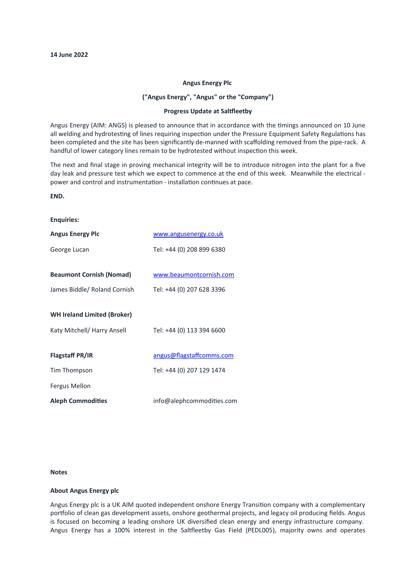## **Angus Energy Plc**

# **("Angus Energy", "Angus" or the "Company")**

#### **Progress Update at Saltfleetby**

Angus Energy (AIM: ANGS) is pleased to announce that in accordance with the timings announced on 10 June all welding and hydrotesting of lines requiring inspection under the Pressure Equipment Safety Regulations has been completed and the site has been significantly de-manned with scaffolding removed from the pipe-rack. A handful of lower category lines remain to be hydrotested without inspection this week.

The next and final stage in proving mechanical integrity will be to introduce nitrogen into the plant for a five day leak and pressure test which we expect to commence at the end of this week. Meanwhile the electrical power and control and instrumentation - installation continues at pace.

## **END.**

## **Enquiries:**

| <b>Angus Energy Plc</b>            | www.angusenergy.co.uk     |
|------------------------------------|---------------------------|
| George Lucan                       | Tel: +44 (0) 208 899 6380 |
|                                    |                           |
| <b>Beaumont Cornish (Nomad)</b>    | www.beaumontcornish.com   |
| James Biddle/ Roland Cornish       | Tel: +44 (0) 207 628 3396 |
|                                    |                           |
| <b>WH Ireland Limited (Broker)</b> |                           |
| Katy Mitchell/ Harry Ansell        | Tel: +44 (0) 113 394 6600 |
|                                    |                           |
| Flagstaff PR/IR                    | angus@flagstaffcomms.com  |
| Tim Thompson                       | Tel: +44 (0) 207 129 1474 |
| Fergus Mellon                      |                           |
| Aleph Commodities                  | info@alephcommodities.com |

## **Notes**

#### **About Angus Energy plc**

Angus Energy plc is a UK AIM quoted independent onshore Energy Transition company with a complementary portfolio of clean gas development assets, onshore geothermal projects, and legacy oil producing fields. Angus is focused on becoming a leading onshore UK diversified clean energy and energy infrastructure company. Angus Energy has a 100% interest in the Saltfleetby Gas Field (PEDL005), majority owns and operates